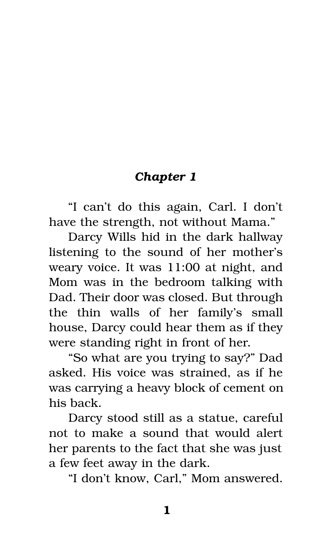## *Chapter 1*

"I can't do this again, Carl. I don't have the strength, not without Mama."

Darcy Wills hid in the dark hallway listening to the sound of her mother's weary voice. It was 11:00 at night, and Mom was in the bedroom talking with Dad. Their door was closed. But through the thin walls of her family's small house, Darcy could hear them as if they were standing right in front of her.

"So what are you trying to say?" Dad asked. His voice was strained, as if he was carrying a heavy block of cement on his back.

Darcy stood still as a statue, careful not to make a sound that would alert her parents to the fact that she was just a few feet away in the dark.

"I don't know, Carl," Mom answered.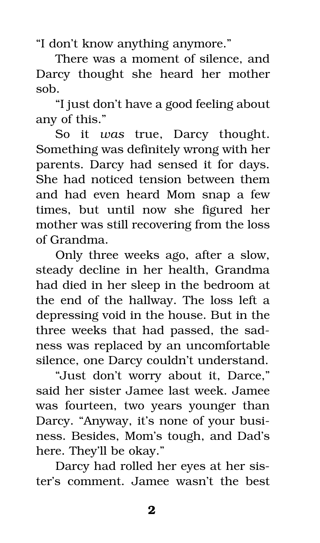"I don't know anything anymore."

There was a moment of silence, and Darcy thought she heard her mother sob.

"I just don't have a good feeling about any of this."

So it *was* true, Darcy thought. Something was definitely wrong with her parents. Darcy had sensed it for days. She had noticed tension between them and had even heard Mom snap a few times, but until now she figured her mother was still recovering from the loss of Grandma.

Only three weeks ago, after a slow, steady decline in her health, Grandma had died in her sleep in the bedroom at the end of the hallway. The loss left a depressing void in the house. But in the three weeks that had passed, the sadness was replaced by an uncomfortable silence, one Darcy couldn't understand.

"Just don't worry about it, Darce," said her sister Jamee last week. Jamee was fourteen, two years younger than Darcy. "Anyway, it's none of your business. Besides, Mom's tough, and Dad's here. They'll be okay."

Darcy had rolled her eyes at her sister's comment. Jamee wasn't the best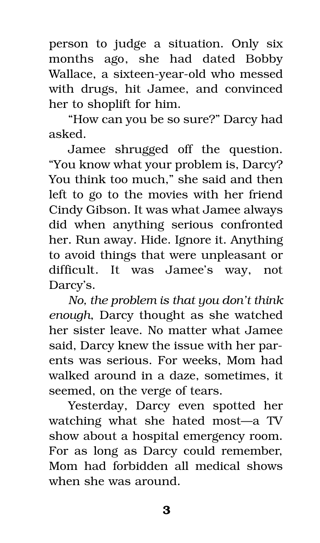person to judge a situation. Only six months ago, she had dated Bobby Wallace, a sixteen-year-old who messed with drugs, hit Jamee, and convinced her to shoplift for him.

"How can you be so sure?" Darcy had asked.

Jamee shrugged off the question. "You know what your problem is, Darcy? You think too much," she said and then left to go to the movies with her friend Cindy Gibson. It was what Jamee always did when anything serious confronted her. Run away. Hide. Ignore it. Anything to avoid things that were unpleasant or difficult. It was Jamee's way, not Darcy's.

*No, the problem is that you don't think enough*, Darcy thought as she watched her sister leave. No matter what Jamee said, Darcy knew the issue with her parents was serious. For weeks, Mom had walked around in a daze, sometimes, it seemed, on the verge of tears.

Yesterday, Darcy even spotted her watching what she hated most—a TV show about a hospital emergency room. For as long as Darcy could remember, Mom had forbidden all medical shows when she was around.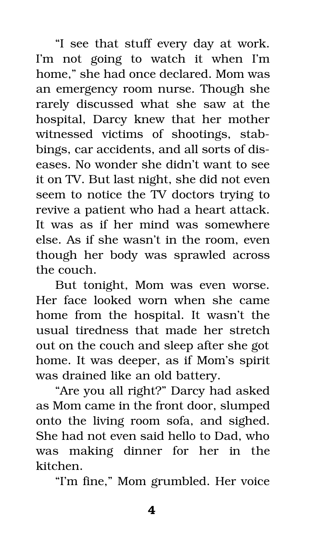"I see that stuff every day at work. I'm not going to watch it when I'm home," she had once declared. Mom was an emergency room nurse. Though she rarely discussed what she saw at the hospital, Darcy knew that her mother witnessed victims of shootings, stabbings, car accidents, and all sorts of diseases. No wonder she didn't want to see it on TV. But last night, she did not even seem to notice the TV doctors trying to revive a patient who had a heart attack. It was as if her mind was somewhere else. As if she wasn't in the room, even though her body was sprawled across the couch.

But tonight, Mom was even worse. Her face looked worn when she came home from the hospital. It wasn't the usual tiredness that made her stretch out on the couch and sleep after she got home. It was deeper, as if Mom's spirit was drained like an old battery.

"Are you all right?" Darcy had asked as Mom came in the front door, slumped onto the living room sofa, and sighed. She had not even said hello to Dad, who was making dinner for her in the kitchen.

"I'm fine," Mom grumbled. Her voice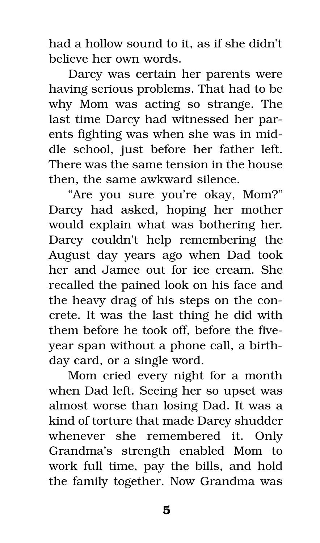had a hollow sound to it, as if she didn't believe her own words.

Darcy was certain her parents were having serious problems. That had to be why Mom was acting so strange. The last time Darcy had witnessed her parents fighting was when she was in middle school, just before her father left. There was the same tension in the house then, the same awkward silence.

"Are you sure you're okay, Mom?" Darcy had asked, hoping her mother would explain what was bothering her. Darcy couldn't help remembering the August day years ago when Dad took her and Jamee out for ice cream. She recalled the pained look on his face and the heavy drag of his steps on the concrete. It was the last thing he did with them before he took off, before the fiveyear span without a phone call, a birthday card, or a single word.

Mom cried every night for a month when Dad left. Seeing her so upset was almost worse than losing Dad. It was a kind of torture that made Darcy shudder whenever she remembered it. Only Grandma's strength enabled Mom to work full time, pay the bills, and hold the family together. Now Grandma was

5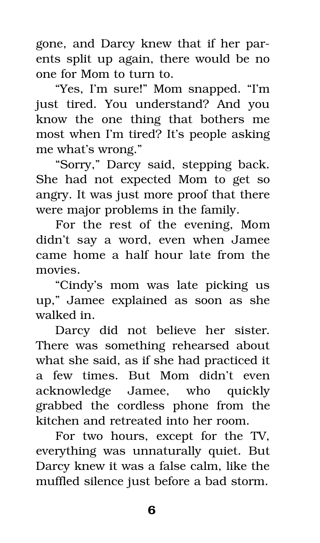gone, and Darcy knew that if her parents split up again, there would be no one for Mom to turn to.

"Yes, I'm sure!" Mom snapped. "I'm just tired. You understand? And you know the one thing that bothers me most when I'm tired? It's people asking me what's wrong."

"Sorry," Darcy said, stepping back. She had not expected Mom to get so angry. It was just more proof that there were major problems in the family.

For the rest of the evening, Mom didn't say a word, even when Jamee came home a half hour late from the movies.

"Cindy's mom was late picking us up," Jamee explained as soon as she walked in.

Darcy did not believe her sister. There was something rehearsed about what she said, as if she had practiced it a few times. But Mom didn't even acknowledge Jamee, who quickly grabbed the cordless phone from the kitchen and retreated into her room.

For two hours, except for the TV, everything was unnaturally quiet. But Darcy knew it was a false calm, like the muffled silence just before a bad storm.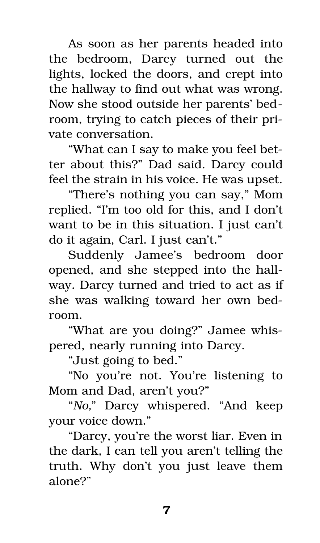As soon as her parents headed into the bedroom, Darcy turned out the lights, locked the doors, and crept into the hallway to find out what was wrong. Now she stood outside her parents' bedroom, trying to catch pieces of their private conversation.

"What can I say to make you feel better about this?" Dad said. Darcy could feel the strain in his voice. He was upset.

"There's nothing you can say," Mom replied. "I'm too old for this, and I don't want to be in this situation. I just can't do it again, Carl. I just can't."

Suddenly Jamee's bedroom door opened, and she stepped into the hallway. Darcy turned and tried to act as if she was walking toward her own bedroom.

"What are you doing?" Jamee whispered, nearly running into Darcy.

"Just going to bed."

"No you're not. You're listening to Mom and Dad, aren't you?"

"*No,*" Darcy whispered. "And keep your voice down."

"Darcy, you're the worst liar. Even in the dark, I can tell you aren't telling the truth. Why don't you just leave them alone?"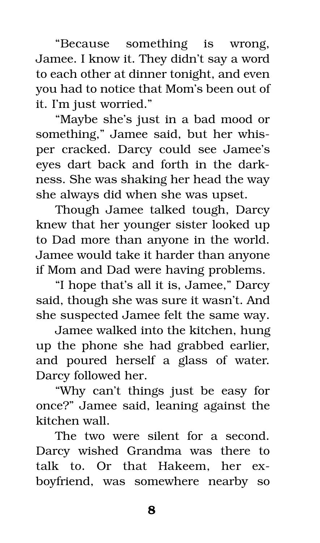"Because something is wrong, Jamee. I know it. They didn't say a word to each other at dinner tonight, and even you had to notice that Mom's been out of it. I'm just worried."

"Maybe she's just in a bad mood or something," Jamee said, but her whisper cracked. Darcy could see Jamee's eyes dart back and forth in the darkness. She was shaking her head the way she always did when she was upset.

Though Jamee talked tough, Darcy knew that her younger sister looked up to Dad more than anyone in the world. Jamee would take it harder than anyone if Mom and Dad were having problems.

"I hope that's all it is, Jamee," Darcy said, though she was sure it wasn't. And she suspected Jamee felt the same way.

Jamee walked into the kitchen, hung up the phone she had grabbed earlier, and poured herself a glass of water. Darcy followed her.

"Why can't things just be easy for once?" Jamee said, leaning against the kitchen wall.

The two were silent for a second. Darcy wished Grandma was there to talk to. Or that Hakeem, her exboyfriend, was somewhere nearby so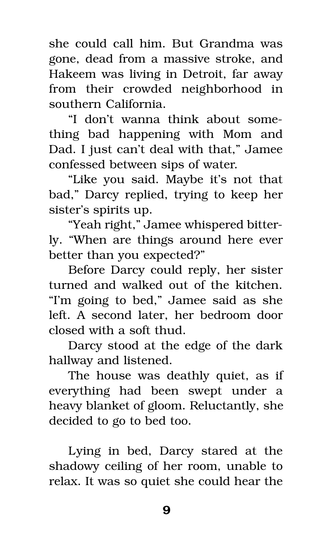she could call him. But Grandma was gone, dead from a massive stroke, and Hakeem was living in Detroit, far away from their crowded neighborhood in southern California.

"I don't wanna think about something bad happening with Mom and Dad. I just can't deal with that," Jamee confessed between sips of water.

"Like you said. Maybe it's not that bad," Darcy replied, trying to keep her sister's spirits up.

"Yeah right," Jamee whispered bitterly. "When are things around here ever better than you expected?"

Before Darcy could reply, her sister turned and walked out of the kitchen. "I'm going to bed," Jamee said as she left. A second later, her bedroom door closed with a soft thud.

Darcy stood at the edge of the dark hallway and listened.

The house was deathly quiet, as if everything had been swept under a heavy blanket of gloom. Reluctantly, she decided to go to bed too.

Lying in bed, Darcy stared at the shadowy ceiling of her room, unable to relax. It was so quiet she could hear the

9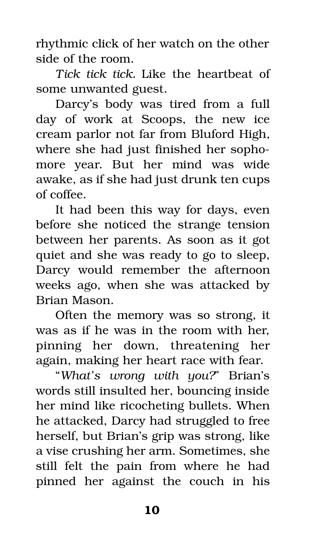rhythmic click of her watch on the other side of the room.

*Tick tick tick.* Like the heartbeat of some unwanted guest.

Darcy's body was tired from a full day of work at Scoops, the new ice cream parlor not far from Bluford High, where she had just finished her sophomore year. But her mind was wide awake, as if she had just drunk ten cups of coffee.

It had been this way for days, even before she noticed the strange tension between her parents. As soon as it got quiet and she was ready to go to sleep, Darcy would remember the afternoon weeks ago, when she was attacked by Brian Mason.

Often the memory was so strong, it was as if he was in the room with her, pinning her down, threatening her again, making her heart race with fear.

"*What's wrong with you?*" Brian's words still insulted her, bouncing inside her mind like ricocheting bullets. When he attacked, Darcy had struggled to free herself, but Brian's grip was strong, like a vise crushing her arm. Sometimes, she still felt the pain from where he had pinned her against the couch in his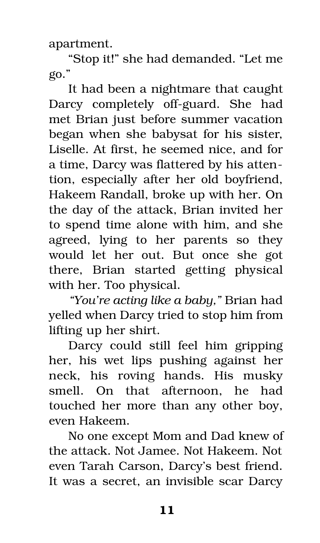apartment.

"Stop it!" she had demanded. "Let me go."

It had been a nightmare that caught Darcy completely off-guard. She had met Brian just before summer vacation began when she babysat for his sister, Liselle. At first, he seemed nice, and for a time, Darcy was flattered by his attention, especially after her old boyfriend, Hakeem Randall, broke up with her. On the day of the attack, Brian invited her to spend time alone with him, and she agreed, lying to her parents so they would let her out. But once she got there, Brian started getting physical with her. Too physical.

*"You're acting like a baby,"* Brian had yelled when Darcy tried to stop him from lifting up her shirt.

Darcy could still feel him gripping her, his wet lips pushing against her neck, his roving hands. His musky smell. On that afternoon, he had touched her more than any other boy, even Hakeem.

No one except Mom and Dad knew of the attack. Not Jamee. Not Hakeem. Not even Tarah Carson, Darcy's best friend. It was a secret, an invisible scar Darcy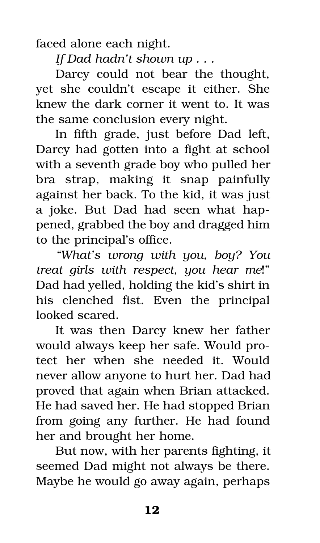faced alone each night.

*If Dad hadn't shown up . . .* 

Darcy could not bear the thought, yet she couldn't escape it either. She knew the dark corner it went to. It was the same conclusion every night.

In fifth grade, just before Dad left, Darcy had gotten into a fight at school with a seventh grade boy who pulled her bra strap, making it snap painfully against her back. To the kid, it was just a joke. But Dad had seen what happened, grabbed the boy and dragged him to the principal's office.

*"What's wrong with you, boy? You treat girls with respect, you hear me*!" Dad had yelled, holding the kid's shirt in his clenched fist. Even the principal looked scared.

It was then Darcy knew her father would always keep her safe. Would protect her when she needed it. Would never allow anyone to hurt her. Dad had proved that again when Brian attacked. He had saved her. He had stopped Brian from going any further. He had found her and brought her home.

But now, with her parents fighting, it seemed Dad might not always be there. Maybe he would go away again, perhaps